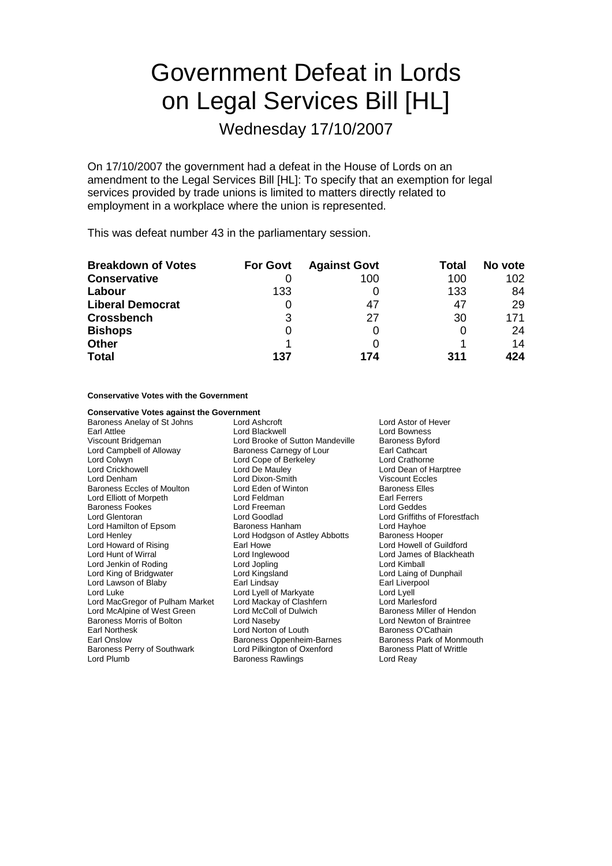# Government Defeat in Lords on Legal Services Bill [HL]

Wednesday 17/10/2007

On 17/10/2007 the government had a defeat in the House of Lords on an amendment to the Legal Services Bill [HL]: To specify that an exemption for legal services provided by trade unions is limited to matters directly related to employment in a workplace where the union is represented.

This was defeat number 43 in the parliamentary session.

| <b>Breakdown of Votes</b> | <b>For Govt</b> | <b>Against Govt</b> | Total | No vote |
|---------------------------|-----------------|---------------------|-------|---------|
| <b>Conservative</b>       |                 | 100                 | 100   | 102     |
| Labour                    | 133             |                     | 133   | 84      |
| <b>Liberal Democrat</b>   |                 | 47                  | 47    | 29      |
| <b>Crossbench</b>         | 3               | 27                  | 30    | 171     |
| <b>Bishops</b>            | O               |                     |       | 24      |
| <b>Other</b>              |                 |                     |       | 14      |
| <b>Total</b>              | 137             | 174                 | 311   | 424     |

**Conservative Votes with the Government**

| <b>Conservative Votes against the Government</b> |                                  |                      |
|--------------------------------------------------|----------------------------------|----------------------|
| Baroness Anelay of St Johns                      | Lord Ashcroft                    | Lord Astor           |
| Earl Attlee                                      | Lord Blackwell                   | Lord Bown            |
| Viscount Bridgeman                               | Lord Brooke of Sutton Mandeville | <b>Baroness E</b>    |
| Lord Campbell of Alloway                         | Baroness Carnegy of Lour         | Earl Cathca          |
| Lord Colwyn                                      | Lord Cope of Berkeley            | Lord Cratho          |
| Lord Crickhowell                                 | Lord De Mauley                   | Lord Dean            |
| Lord Denham                                      | Lord Dixon-Smith                 | Viscount E           |
| Baroness Eccles of Moulton                       | Lord Eden of Winton              | <b>Baroness E</b>    |
| Lord Elliott of Morpeth                          | Lord Feldman                     | Earl Ferrers         |
| Baroness Fookes                                  | Lord Freeman                     | Lord Gedd            |
| Lord Glentoran                                   | Lord Goodlad                     | <b>Lord Griffith</b> |
| Lord Hamilton of Epsom                           | Baroness Hanham                  | Lord Hayho           |
| Lord Henley                                      | Lord Hodgson of Astley Abbotts   | Baroness H           |
| Lord Howard of Rising                            | Earl Howe                        | Lord Howel           |
| Lord Hunt of Wirral                              | Lord Inglewood                   | Lord James           |
| Lord Jenkin of Roding                            | Lord Jopling                     | Lord Kimba           |
| Lord King of Bridgwater                          | Lord Kingsland                   | Lord Laing           |
| Lord Lawson of Blaby                             | Earl Lindsay                     | Earl Liverp          |
| Lord Luke                                        | Lord Lyell of Markyate           | Lord Lyell           |
| Lord MacGregor of Pulham Market                  | Lord Mackay of Clashfern         | <b>Lord Marles</b>   |
| Lord McAlpine of West Green                      | Lord McColl of Dulwich           | Baroness N           |
| Baroness Morris of Bolton                        | Lord Naseby                      | <b>Lord Newto</b>    |
| Earl Northesk                                    | Lord Norton of Louth             | Baroness C           |
| Earl Onslow                                      | Baroness Oppenheim-Barnes        | <b>Baroness F</b>    |
| Baroness Perry of Southwark                      | Lord Pilkington of Oxenford      | <b>Baroness F</b>    |
| Lord Plumb                                       | <b>Baroness Rawlings</b>         | Lord Reay            |

Lord Astor of Hever Lord Bowness ville Baroness Byford Earl Cathcart Lord Crathorne Lord Dean of Harptree Viscount Eccles Baroness Elles Earl Ferrers Lord Geddes Lord Griffiths of Fforestfach Lord Hayhoe tts Baroness Hooper Lord Howell of Guildford Lord James of Blackheath **Lord Kimball** Lord Laing of Dunphail Earl Liverpool<br>Lord Lvell Lord Marlesford Baroness Miller of Hendon Lord Newton of Braintree Baroness O'Cathain Baroness Park of Monmouth Baroness Platt of Writtle Lord Reay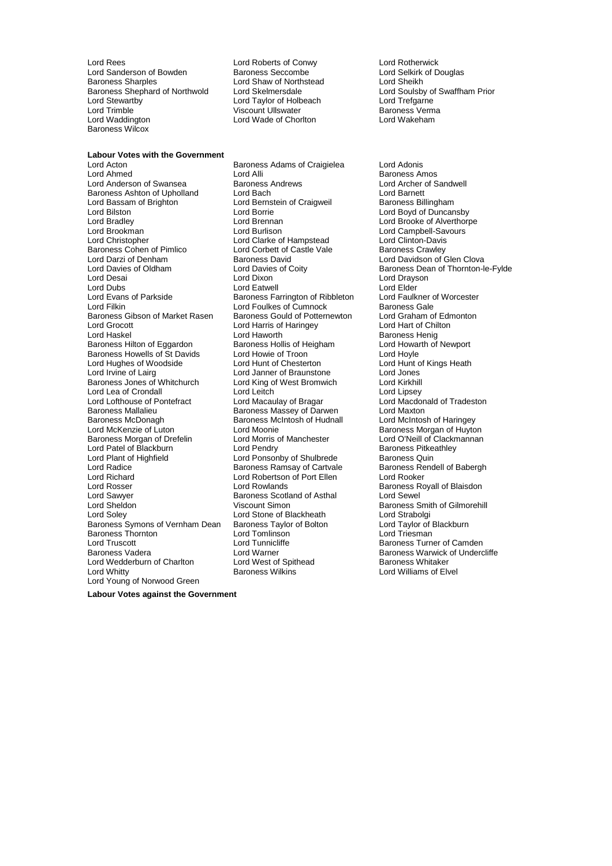Lord Rees<br>
Lord Sanderson of Bowden<br>
Lord Sanderson of Bowden<br>
Baroness Seccombe<br>
Lord Selkirk of Douglas Lord Sanderson of Bowden<br>Baroness Sharples Baroness Shephard of Northwold Lord Skelmersdale Lord Steven Lord Soulsby of Lord Steven Lord Taylor of Holbeach Lord Stewartby **Lord Taylor of Holbeach** Lord Trefgarne<br>
Lord Trimble **Lord Trefgarne**<br>
Unit Ullswater Corporation Baroness Verma Lord Trimble 1990 (Viscount Ullswater 1990) Number 2012 (Baroness Verman Viscount Ullswater 1990) 2014 (Baroness Verman Viscount Ullswater 1990) 2014 (Baroness Verman Viscount Ullswater 1990) 2014 (Discount 1990) 2014 (Dis Baroness Wilcox

Lord Wade of Chorlton

Lord Shaw of Northstead<br>
Lord Skelmersdale **Lord Souls** Lord Swaffham Prior

## **Labour Votes with the Government**

Lord Anderson of Swansea Baroness Andrews Lord Archer of Sandwell Baroness Ashton of Upholland Lord Bach Lord Baroness Ashton of Upholland Lord Bach Lord Barnett<br>
Lord Bassam of Brighton Lord Bernstein of Craigweil Baroness Billingham Lord Bassam of Brighton Lord Bernstein of Craigweil<br>
Lord Bilston Lord Barrie Lord Bradley Lord Brennan Lord Brooke of Alverthorpe Lord Brookman Lord Burlison Lord Campbell-Savours Lord Christopher Lord Clarke of Hampstead Lord Clinton-Davis Lord Darzi of Denham **Baroness David** Baroness David Lord Davidson of Glen Clova<br>
Lord Davies of Oldham Lord Davies of Coity **Baroness Dean of Thornton-I** Lord Davies of Oldham Lord Davies of Coity Baroness Dean of Thornton-le-Fylde Lord Dubs<br>
Lord Evans of Parkside **Lord Eatwell** Exercisy Farrington of Ribbleton Lord Eaulkner of Worcester Lord Evans of Parkside **Baroness Farrington of Ribbleton** Lord Faulkner c<br>Lord Filkin Lord Foulkes of Cumnock Baroness Gale Baroness Gibson of Market Rasen Lord Grocott **Lord Harris of Haringey Lord Hart of Chilton**<br>
Lord Hart of Chilton<br>
Lord Haworth **Communist Communist Communist Communist Communist Communist Communist Communist Communist Communist** Baroness Hilton of Eggardon Baroness Hollis of Heigham Baroness Hollis of Heigham Baroness Hollis of Howarth D Baroness Howells of St Davids Lord Howie of Troon<br>
Lord Hughes of Woodside Lord Hunt of Chesterton Lord Hunt of Kings Heath Lord Hughes of Woodside Lord Hunt of Chesterton Chesterton Lord Hunt of Chesterton Lord Jones Lord Jones Lord Jones Baroness Jones of Whitchurch Lord Lea of Crondall **Lord Leitch** Lord Leitch Lord Lord Lipsey<br>
Lord Lofthouse of Pontefract Lord Macaulay of Bragar Lord Macdo Lord Lofthouse of Pontefract Lord Macaulay of Bragar Lord Macdonald of Tradeston Baroness Mallalieu **Baroness Massey of Darwen** Lord Maxton<br>Baroness McDonagh Baroness McIntosh of Hudnall Lord McIntosh of Haringey Lord McKenzie of Luton **Lord Moonie** Cord Moonie **Baroness Morgan of Huyton**<br>Baroness Morgan of Drefelin **Lord Morris of Manchester** Lord O'Neill of Clackmannan Baroness Morgan of Drefelin Lord Morris of Manchester Cornel Lord O'Neill of Clackn<br>Lord Patel of Blackburn Lord Pendry Cornel Cornel Baroness Pitkeathlev Lord Patel of Blackburn Lord Pendry Cord Pendry Baroness Pitke<br>
Lord Plant of Highfield Lord Ponsonby of Shulbrede Baroness Quin Lord Plant of Highfield Lord Ponsonby of Shulbrede Baroness Quin<br>
Lord Radice Baroness Ramsay of Cartvale Baroness Rendell of Babergh Lord Radice The Baroness Ramsay of Cartvale Baroness Rendell Baroness Rendell Saroness Rendell State Baroness Re<br>Rendell Cord Roberts Lord Robertson of Port Ellen Lord Rosser **Lord Rowlands Lord Rowlands Baroness Royall of Blaisdon** Lord Sawyer **Baroness Scotland of Asthal** Lord Sewel<br>
Lord Sheldon **Baroness Scount Simon** Christeness Scotland of Asthal Baroness S Lord Sheldon Viscount Simon Baroness Smith of Gilmorehill Baroness Symons of Vernham Dean Baroness Taylor of Bolton Lord Taylor of B<br>Baroness Thornton Lord Tomlinson Lord Tomlinson Lord Triesman Baroness Thornton<br>Lord Truscott Lord Truscott **Lord Truscott** Lord Tunnicliffe **Cammen Baroness Turner of Camden**<br>Baroness Vadera **Baroness Truscott Control Control Control** Lord Warner Lord Wedderburn of Charlton Lord West of Spithead Baroness Wilkins Lord Whitty Baroness Wilkins Lord Williams of Elvel Lord Young of Norwood Green

Lord Acton Baroness Adams of Craigielea Lord Adonis Lord Corbett of Castle Vale Lord Foulkes of Cumnock<br>
Baroness Gould of Potternewton

Lord Graham of Edmonton Lord Haworth **Example 2018**<br>
Baroness Hollis of Heigham **Baroness Hollis Algebra** Lord Howarth of Newport Lord Janner of Braunstone **Lord Jones**<br>
Lord King of West Bromwich **Lord Kirkhill** Baroness McIntosh of Hudnall Lord Robertson of Port Ellen<br>Lord Rowlands Lord Stone of Blackheath Lord Strabolgi<br>
Baroness Taylor of Bolton Lord Taylor of Blackburn

Baroness Amos Lord Boyd of Duncansby Lord Drayson Lord Warner<br>
Lord West of Spithead<br>
Baroness Whitaker<br>
Baroness Whitaker

**Labour Votes against the Government**